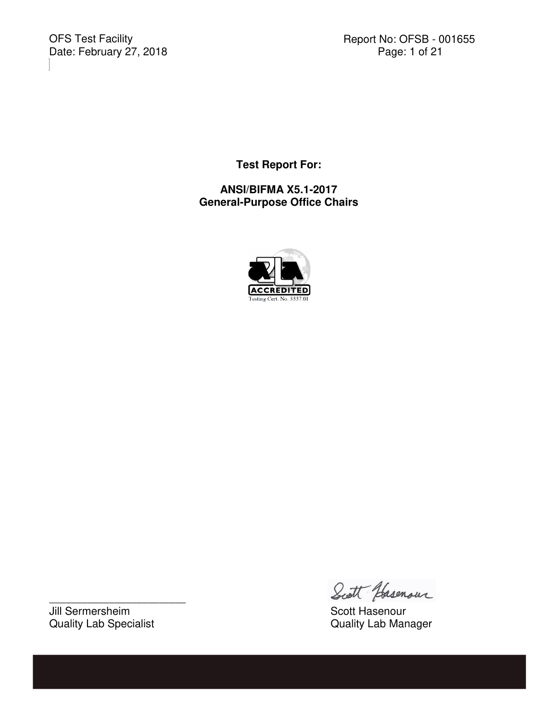OFS Test Facility<br>Date: February 27, 2018

Report No: OFSB - 001655<br>Page: 1 of 21

**Test Report For:** 

**ANSI/BIFMA X5.1-2017 General-Purpose Office Chairs** 



Jill Sermersheim Scott Hasenour<br>
Scott Hasenour<br>
Guality Lab Specialist Specialist Supply Research Scott Hasenour<br>
Guality Lab Manager Quality Lab Specialist

\_\_\_\_\_\_\_\_\_\_\_\_\_\_\_\_\_\_\_\_\_\_\_\_\_

Scott Hasenour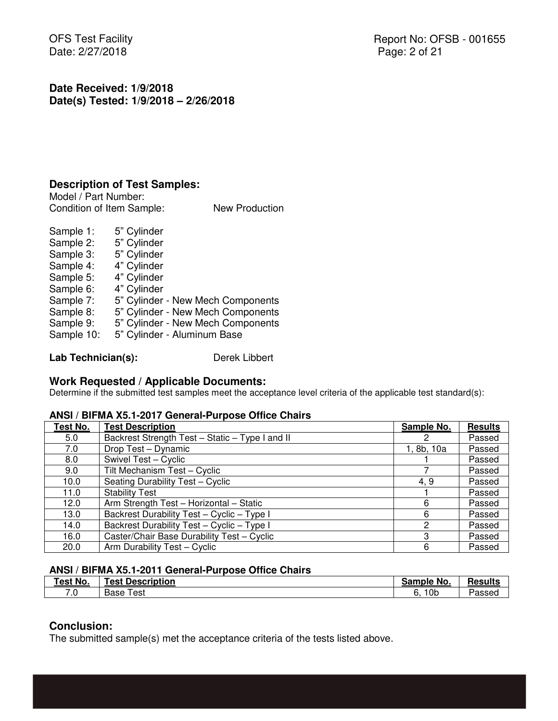OFS Test Facility Date: 2/27/2018

**Date Received: 1/9/2018 Date(s) Tested: 1/9/2018 – 2/26/2018**

### **Description of Test Samples:**

Model / Part Number: Condition of Item Sample: New Production

Sample 1: 5" Cylinder Sample 2: 5" Cylinder Sample 3: 5" Cylinder Sample 4: 4" Cylinder Sample 5: 4" Cylinder Sample 6: 4" Cylinder Sample 7: 5" Cylinder - New Mech Components Sample 8: 5" Cylinder - New Mech Components Sample 9: 5" Cylinder - New Mech Components Sample 10: 5" Cylinder - Aluminum Base

Lab Technician(s): Derek Libbert

## **Work Requested / Applicable Documents:**

Determine if the submitted test samples meet the acceptance level criteria of the applicable test standard(s):

#### **ANSI / BIFMA X5.1-2017 General-Purpose Office Chairs**

| Test No. | <b>Test Description</b>                         | Sample No. | <b>Results</b> |
|----------|-------------------------------------------------|------------|----------------|
| 5.0      | Backrest Strength Test - Static - Type I and II |            | Passed         |
| 7.0      | Drop Test - Dynamic                             | 1, 8b, 10a | Passed         |
| 8.0      | Swivel Test - Cyclic                            |            | Passed         |
| 9.0      | Tilt Mechanism Test - Cyclic                    |            | Passed         |
| 10.0     | Seating Durability Test - Cyclic                | 4.9        | Passed         |
| 11.0     | <b>Stability Test</b>                           |            | Passed         |
| 12.0     | Arm Strength Test - Horizontal - Static         | 6          | Passed         |
| 13.0     | Backrest Durability Test - Cyclic - Type I      | 6          | Passed         |
| 14.0     | Backrest Durability Test - Cyclic - Type I      | 2          | Passed         |
| 16.0     | Caster/Chair Base Durability Test - Cyclic      | З          | Passed         |
| 20.0     | Arm Durability Test - Cyclic                    | 6          | Passed         |

#### **ANSI / BIFMA X5.1-2011 General-Purpose Office Chairs**

| Fest No. | <b>Description</b> | ≅No.          | -              |
|----------|--------------------|---------------|----------------|
|          | ⊥est P             | <b>Sample</b> | <b>Results</b> |
| 7.0      | ™est               | ∣0b           | -              |
|          | Base               | о.            | Passed         |

### **Conclusion:**

The submitted sample(s) met the acceptance criteria of the tests listed above.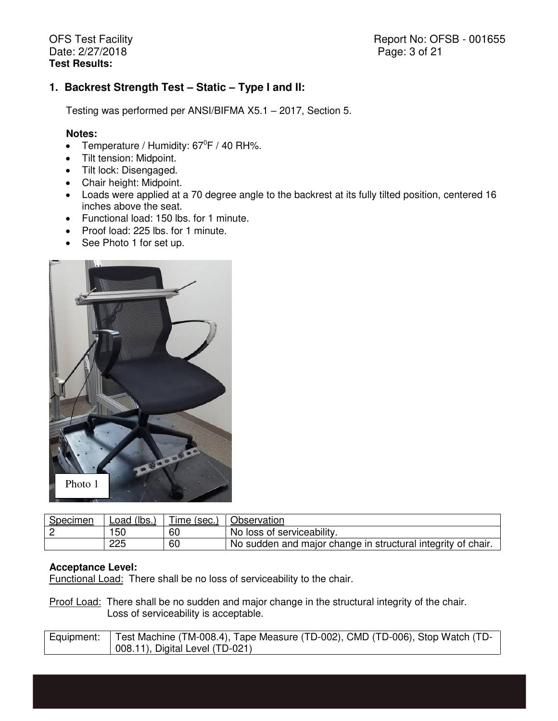Report No: OFSB - 001655 Page: 3 of 21

## **1. Backrest Strength Test – Static – Type I and II:**

Testing was performed per ANSI/BIFMA X5.1 – 2017, Section 5.

#### **Notes:**

- Temperature / Humidity:  $67^{\circ}F$  / 40 RH%.
- Tilt tension: Midpoint.
- Tilt lock: Disengaged.
- Chair height: Midpoint.
- Loads were applied at a 70 degree angle to the backrest at its fully tilted position, centered 16 inches above the seat.
- Functional load: 150 lbs. for 1 minute.
- Proof load: 225 lbs. for 1 minute.
- See Photo 1 for set up.



| Specimen | Load (lbs., | --<br>l ime (sec.) | Observation                                                  |
|----------|-------------|--------------------|--------------------------------------------------------------|
|          | 150         | 60                 | No loss of serviceability.                                   |
|          | 225         | 60                 | No sudden and major change in structural integrity of chair. |

#### **Acceptance Level:**

Functional Load: There shall be no loss of serviceability to the chair.

Proof Load: There shall be no sudden and major change in the structural integrity of the chair. Loss of serviceability is acceptable.

| Equipment:   Test Machine (TM-008.4), Tape Measure (TD-002), CMD (TD-006), Stop Watch (TD- |
|--------------------------------------------------------------------------------------------|
| 008.11), Digital Level (TD-021)                                                            |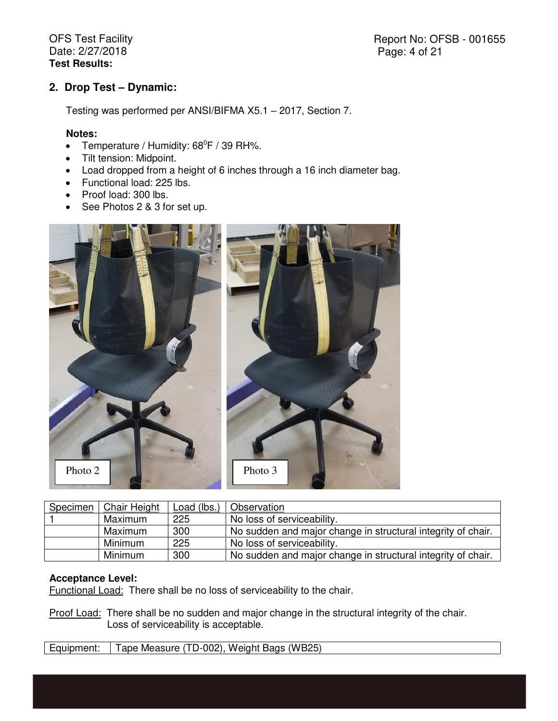Report No: OFSB - 001655 Page: 4 of 21

## **2. Drop Test – Dynamic:**

Testing was performed per ANSI/BIFMA X5.1 – 2017, Section 7.

#### **Notes:**

- Temperature / Humidity:  $68^{\circ}F$  / 39 RH%.
- Tilt tension: Midpoint.
- Load dropped from a height of 6 inches through a 16 inch diameter bag.
- Functional load: 225 lbs.
- Proof load: 300 lbs.
- See Photos 2 & 3 for set up.



| Specimen | <b>Chair Height</b> | Load (lbs.) | Observation                                                  |
|----------|---------------------|-------------|--------------------------------------------------------------|
|          | Maximum             | 225         | No loss of serviceability.                                   |
|          | Maximum             | 300         | No sudden and major change in structural integrity of chair. |
|          | Minimum             | 225         | No loss of serviceability.                                   |
|          | <b>Minimum</b>      | 300         | No sudden and major change in structural integrity of chair. |

#### **Acceptance Level:**

Functional Load: There shall be no loss of serviceability to the chair.

Proof Load: There shall be no sudden and major change in the structural integrity of the chair. Loss of serviceability is acceptable.

Equipment: Tape Measure (TD-002), Weight Bags (WB25)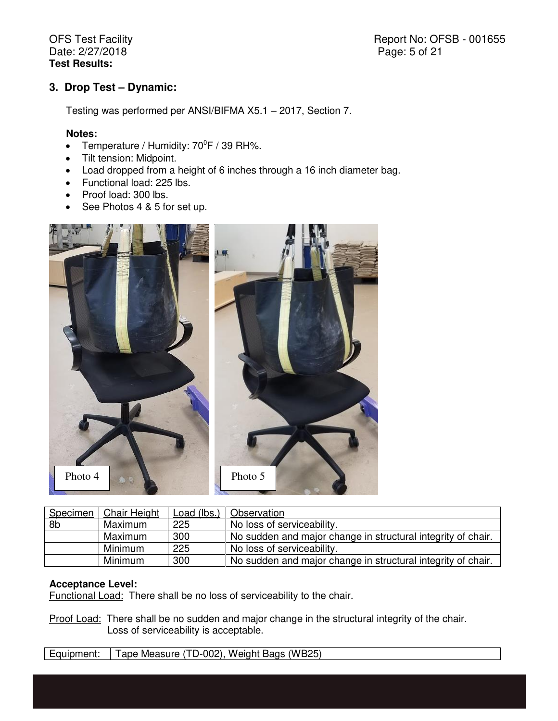Report No: OFSB - 001655 Page: 5 of 21

### **3. Drop Test – Dynamic:**

Testing was performed per ANSI/BIFMA X5.1 – 2017, Section 7.

#### **Notes:**

- Temperature / Humidity:  $70^{\circ}$ F / 39 RH%.
- Tilt tension: Midpoint.
- Load dropped from a height of 6 inches through a 16 inch diameter bag.
- Functional load: 225 lbs.
- Proof load: 300 lbs.
- See Photos 4 & 5 for set up.



| Specimen       | Chair Height | Load (lbs.) | Observation                                                  |
|----------------|--------------|-------------|--------------------------------------------------------------|
| 8 <sub>b</sub> | Maximum      | 225         | No loss of serviceability.                                   |
|                | Maximum      | 300         | No sudden and major change in structural integrity of chair. |
|                | Minimum      | 225         | No loss of serviceability.                                   |
|                | Minimum      | 300         | No sudden and major change in structural integrity of chair. |

### **Acceptance Level:**

Functional Load: There shall be no loss of serviceability to the chair.

Proof Load: There shall be no sudden and major change in the structural integrity of the chair. Loss of serviceability is acceptable.

Equipment: | Tape Measure (TD-002), Weight Bags (WB25)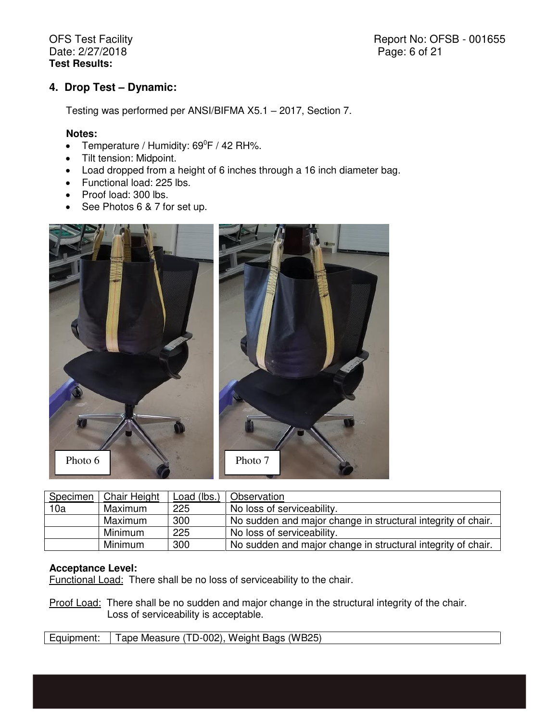Report No: OFSB - 001655 Page: 6 of 21

## **4. Drop Test – Dynamic:**

Testing was performed per ANSI/BIFMA X5.1 – 2017, Section 7.

#### **Notes:**

- Temperature / Humidity:  $69^{\circ}F$  / 42 RH%.
- Tilt tension: Midpoint.
- Load dropped from a height of 6 inches through a 16 inch diameter bag.
- Functional load: 225 lbs.
- Proof load: 300 lbs.
- See Photos 6 & 7 for set up.



| Specimen | <b>Chair Height</b> | Load (lbs.) | Observation                                                  |
|----------|---------------------|-------------|--------------------------------------------------------------|
| 10a      | Maximum             | 225         | No loss of serviceability.                                   |
|          | Maximum             | 300         | No sudden and major change in structural integrity of chair. |
|          | Minimum             | 225         | No loss of serviceability.                                   |
|          | Minimum             | 300         | No sudden and major change in structural integrity of chair. |

## **Acceptance Level:**

Functional Load: There shall be no loss of serviceability to the chair.

Proof Load: There shall be no sudden and major change in the structural integrity of the chair. Loss of serviceability is acceptable.

| Equipment: | Tape Measure (TD-002), Weight Bags (WB25) |
|------------|-------------------------------------------|
|------------|-------------------------------------------|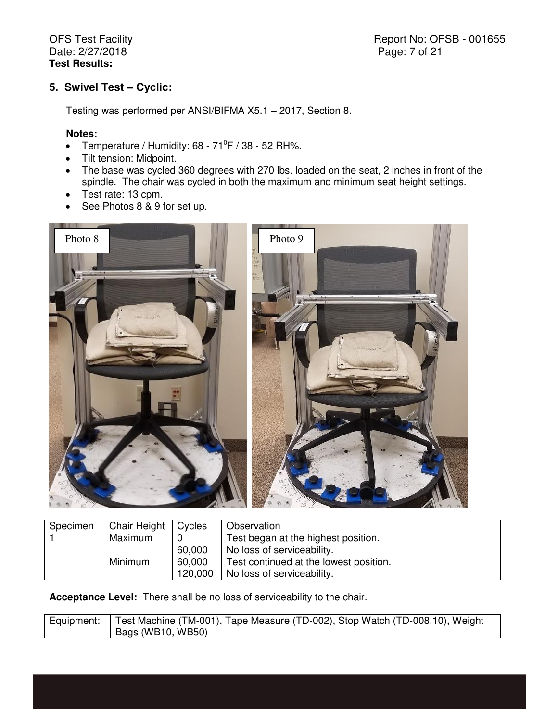Report No: OFSB - 001655 Page: 7 of 21

# **5. Swivel Test – Cyclic:**

Testing was performed per ANSI/BIFMA X5.1 – 2017, Section 8.

#### **Notes:**

- Temperature / Humidity:  $68 71^\circ$ F / 38 52 RH%.
- Tilt tension: Midpoint.
- The base was cycled 360 degrees with 270 lbs. loaded on the seat, 2 inches in front of the spindle. The chair was cycled in both the maximum and minimum seat height settings.
- Test rate: 13 cpm.
- See Photos 8 & 9 for set up.



| <b>Specimen</b> | <b>Chair Height</b> | <b>Cycles</b> | Observation                            |
|-----------------|---------------------|---------------|----------------------------------------|
|                 | Maximum             |               | Test began at the highest position.    |
|                 |                     | 60,000        | No loss of serviceability.             |
|                 | Minimum             | 60,000        | Test continued at the lowest position. |
|                 |                     | 120,000       | No loss of serviceability.             |

**Acceptance Level:** There shall be no loss of serviceability to the chair.

| Equipment: Test Machine (TM-001), Tape Measure (TD-002), Stop Watch (TD-008.10), Weight |
|-----------------------------------------------------------------------------------------|
| Bags (WB10, WB50)                                                                       |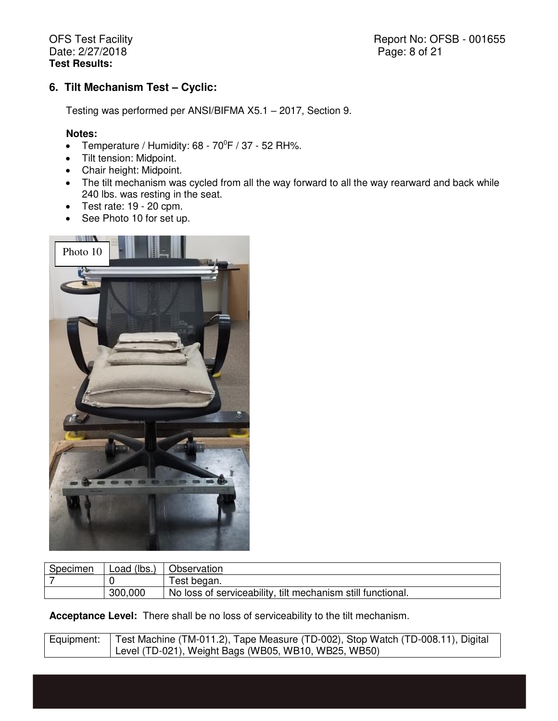Report No: OFSB - 001655 Page: 8 of 21

# **6. Tilt Mechanism Test – Cyclic:**

Testing was performed per ANSI/BIFMA X5.1 – 2017, Section 9.

#### **Notes:**

- Temperature / Humidity:  $68 70^{\circ}F$  / 37 52 RH%.
- Tilt tension: Midpoint.
- Chair height: Midpoint.
- The tilt mechanism was cycled from all the way forward to all the way rearward and back while 240 lbs. was resting in the seat.
- $\bullet$  Test rate: 19 20 cpm.
- See Photo 10 for set up.



| Specimen | Load (lbs., | Observation                                                 |
|----------|-------------|-------------------------------------------------------------|
|          |             | Test began.                                                 |
|          | 300,000     | No loss of serviceability, tilt mechanism still functional. |

**Acceptance Level:** There shall be no loss of serviceability to the tilt mechanism.

| Equipment:   Test Machine (TM-011.2), Tape Measure (TD-002), Stop Watch (TD-008.11), Digital |
|----------------------------------------------------------------------------------------------|
| Level (TD-021), Weight Bags (WB05, WB10, WB25, WB50)                                         |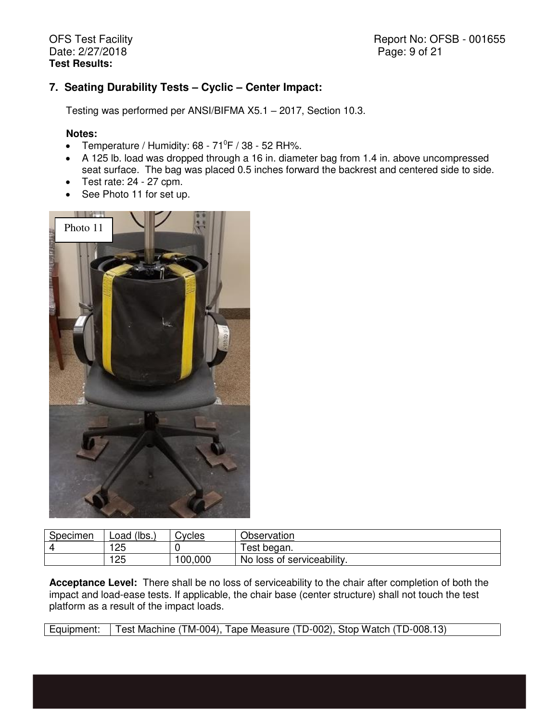Report No: OFSB - 001655 Page: 9 of 21

## **7. Seating Durability Tests – Cyclic – Center Impact:**

Testing was performed per ANSI/BIFMA X5.1 – 2017, Section 10.3.

#### **Notes:**

- Temperature / Humidity:  $68 71^{\circ}F$  /  $38 52$  RH%.
- A 125 lb. load was dropped through a 16 in. diameter bag from 1.4 in. above uncompressed seat surface. The bag was placed 0.5 inches forward the backrest and centered side to side.
- $\bullet$  Test rate: 24 27 cpm.
- See Photo 11 for set up.



| Specimen | (lbs.)<br>Load | <b>Sycles</b> | Observation                         |  |
|----------|----------------|---------------|-------------------------------------|--|
|          | 125<br>تے      |               | lest began.                         |  |
|          | 125            | 100,000       | f serviceability.<br>No.<br>loss of |  |

**Acceptance Level:** There shall be no loss of serviceability to the chair after completion of both the impact and load-ease tests. If applicable, the chair base (center structure) shall not touch the test platform as a result of the impact loads.

Equipment: Test Machine (TM-004), Tape Measure (TD-002), Stop Watch (TD-008.13)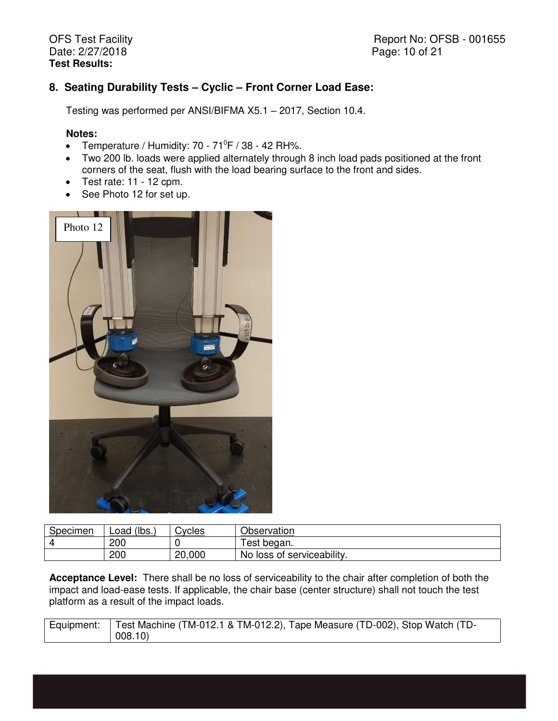# **8. Seating Durability Tests – Cyclic – Front Corner Load Ease:**

Testing was performed per ANSI/BIFMA X5.1 – 2017, Section 10.4.

### **Notes:**

- Temperature / Humidity:  $70 71^\circ$ F / 38 42 RH%.
- Two 200 lb. loads were applied alternately through 8 inch load pads positioned at the front corners of the seat, flush with the load bearing surface to the front and sides.
- $\bullet$  Test rate: 11 12 cpm.
- See Photo 12 for set up.



| Specimen | (lbs.)<br>Load | ;∨cles | Observation                   |  |
|----------|----------------|--------|-------------------------------|--|
|          | 200            |        | 'est began.                   |  |
|          | 200            | 20,000 | loss of serviceability.<br>No |  |

**Acceptance Level:** There shall be no loss of serviceability to the chair after completion of both the impact and load-ease tests. If applicable, the chair base (center structure) shall not touch the test platform as a result of the impact loads.

| Equipment:   Test Machine (TM-012.1 & TM-012.2), Tape Measure (TD-002), Stop Watch (TD- |  |
|-----------------------------------------------------------------------------------------|--|
| 008.10                                                                                  |  |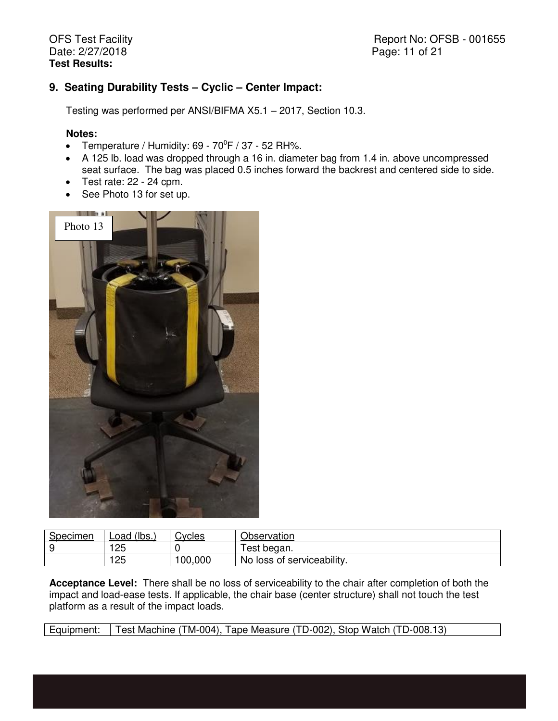Report No: OFSB - 001655 Page: 11 of 21

## **9. Seating Durability Tests – Cyclic – Center Impact:**

Testing was performed per ANSI/BIFMA X5.1 – 2017, Section 10.3.

#### **Notes:**

- Temperature / Humidity:  $69 70^{\circ}F$  / 37 52 RH%.
- A 125 lb. load was dropped through a 16 in. diameter bag from 1.4 in. above uncompressed seat surface. The bag was placed 0.5 inches forward the backrest and centered side to side.
- $\bullet$  Test rate: 22 24 cpm.
- See Photo 13 for set up.



| Specimen | $^{\prime}$ (lbs.,<br>Load | .vcles | Observation                    |
|----------|----------------------------|--------|--------------------------------|
|          | つに<br>2J                   |        | Test began.                    |
|          | 25                         | 00,000 | loss of serviceability.<br>No. |

**Acceptance Level:** There shall be no loss of serviceability to the chair after completion of both the impact and load-ease tests. If applicable, the chair base (center structure) shall not touch the test platform as a result of the impact loads.

Equipment: Test Machine (TM-004), Tape Measure (TD-002), Stop Watch (TD-008.13)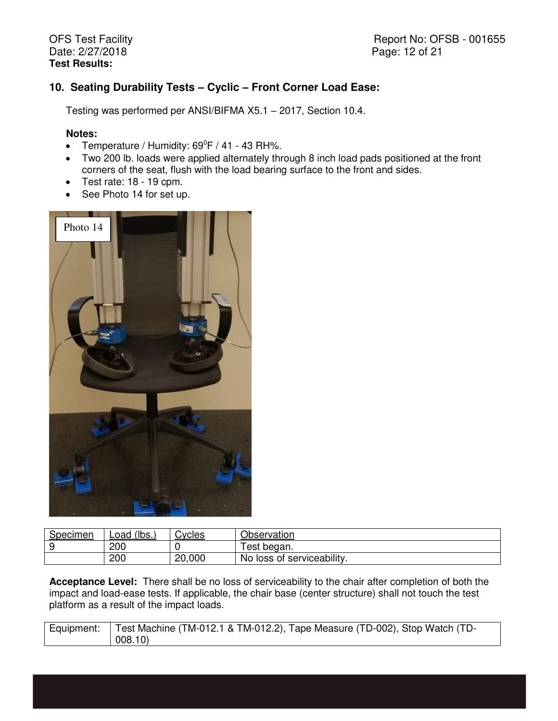Report No: OFSB - 001655 Page: 12 of 21

# **10. Seating Durability Tests – Cyclic – Front Corner Load Ease:**

Testing was performed per ANSI/BIFMA X5.1 – 2017, Section 10.4.

#### **Notes:**

- Temperature / Humidity:  $69^{\circ}F$  / 41 43 RH%.
- Two 200 lb. loads were applied alternately through 8 inch load pads positioned at the front corners of the seat, flush with the load bearing surface to the front and sides.
- $\bullet$  Test rate: 18 19 cpm.
- See Photo 14 for set up.



| <b>Specimen</b> | $\cdot$ (lbs.,<br>Load | <b>Contract Control</b> | Observation                |  |
|-----------------|------------------------|-------------------------|----------------------------|--|
|                 | 200                    |                         | <sup>⊺</sup> est began.    |  |
|                 | 200                    | 20,000                  | No loss of serviceability. |  |

**Acceptance Level:** There shall be no loss of serviceability to the chair after completion of both the impact and load-ease tests. If applicable, the chair base (center structure) shall not touch the test platform as a result of the impact loads.

| Equipment:   Test Machine (TM-012.1 & TM-012.2), Tape Measure (TD-002), Stop Watch (TD- |
|-----------------------------------------------------------------------------------------|
| 008.10                                                                                  |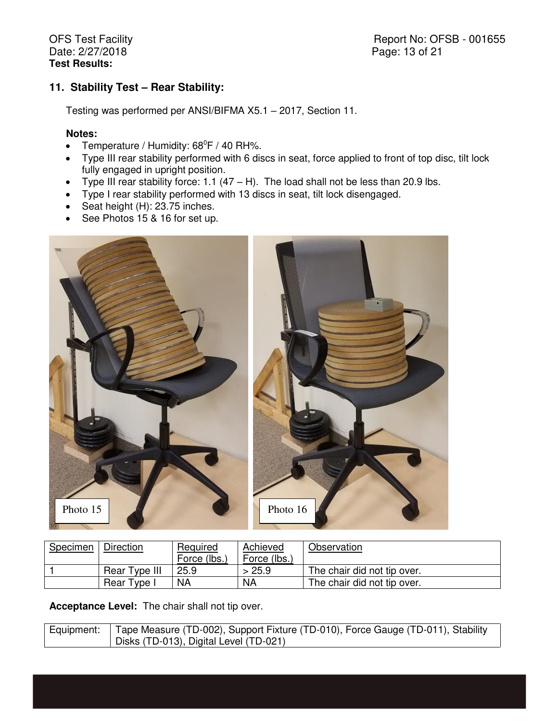Report No: OFSB - 001655 Page: 13 of 21

# **11. Stability Test – Rear Stability:**

Testing was performed per ANSI/BIFMA X5.1 – 2017, Section 11.

#### **Notes:**

- Temperature / Humidity:  $68^{\circ}F$  / 40 RH%.
- Type III rear stability performed with 6 discs in seat, force applied to front of top disc, tilt lock fully engaged in upright position.
- Type III rear stability force: 1.1 (47 H). The load shall not be less than 20.9 lbs.
- Type I rear stability performed with 13 discs in seat, tilt lock disengaged.
- Seat height  $(H)$ : 23.75 inches.
- See Photos 15 & 16 for set up.



| Specimen | Direction     | Required    | Achieved     | Observation                 |
|----------|---------------|-------------|--------------|-----------------------------|
|          |               | Force (lbs. | Force (lbs.) |                             |
|          | Rear Type III | 25.9        | 25.9         | The chair did not tip over. |
|          | Rear Type I   | <b>NA</b>   | <b>NA</b>    | The chair did not tip over. |

**Acceptance Level:** The chair shall not tip over.

| Equipment: Tape Measure (TD-002), Support Fixture (TD-010), Force Gauge (TD-011), Stability |
|---------------------------------------------------------------------------------------------|
| Disks (TD-013), Digital Level (TD-021)                                                      |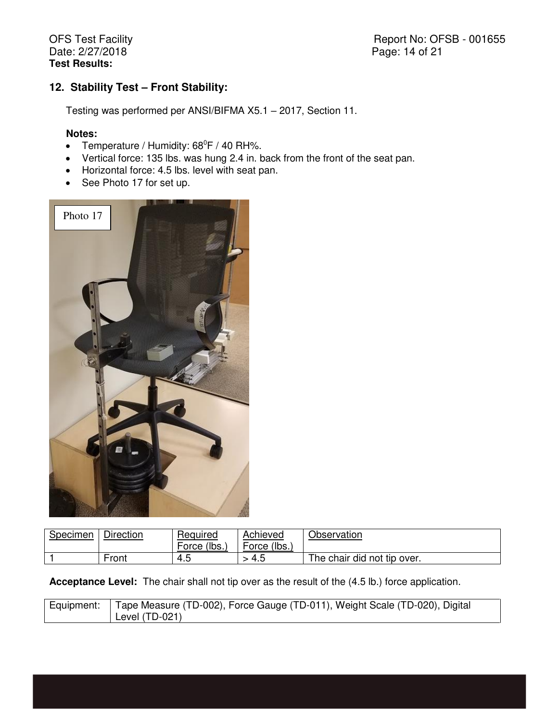Report No: OFSB - 001655 Page: 14 of 21

# **12. Stability Test – Front Stability:**

Testing was performed per ANSI/BIFMA X5.1 – 2017, Section 11.

#### **Notes:**

- Temperature / Humidity:  $68^{\circ}F$  / 40 RH%.
- Vertical force: 135 lbs. was hung 2.4 in. back from the front of the seat pan.
- Horizontal force: 4.5 lbs. level with seat pan.
- See Photo 17 for set up.



| Specimen | <b>Direction</b> | Required       | Achieved        | Observation                 |
|----------|------------------|----------------|-----------------|-----------------------------|
|          |                  | (lbs.<br>Force | (lbs.,<br>Force |                             |
|          | Front            | ث.4            | ــ 4            | The chair did not tip over. |

**Acceptance Level:** The chair shall not tip over as the result of the (4.5 lb.) force application.

| Equipment: | Tape Measure (TD-002), Force Gauge (TD-011), Weight Scale (TD-020), Digital |
|------------|-----------------------------------------------------------------------------|
|            | Level (TD-021)                                                              |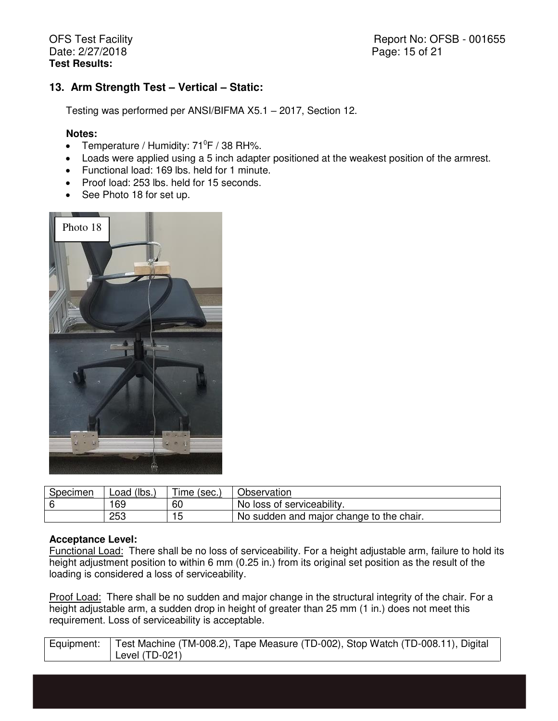Report No: OFSB - 001655 Page: 15 of 21

## **13. Arm Strength Test – Vertical – Static:**

Testing was performed per ANSI/BIFMA X5.1 – 2017, Section 12.

#### **Notes:**

- Temperature / Humidity:  $71^{\circ}F$  / 38 RH%.
- Loads were applied using a 5 inch adapter positioned at the weakest position of the armrest.
- Functional load: 169 lbs. held for 1 minute.
- Proof load: 253 lbs. held for 15 seconds.
- See Photo 18 for set up.



| Specimen | $^{\prime}$ (lbs.,<br>Load | Ime (sec.) | Observation                              |  |
|----------|----------------------------|------------|------------------------------------------|--|
|          | 69                         | 60         | No loss of serviceability.               |  |
|          | つらつ<br>دت∠                 | ر .        | No sudden and major change to the chair. |  |

#### **Acceptance Level:**

Functional Load: There shall be no loss of serviceability. For a height adjustable arm, failure to hold its height adjustment position to within 6 mm (0.25 in.) from its original set position as the result of the loading is considered a loss of serviceability.

Proof Load: There shall be no sudden and major change in the structural integrity of the chair. For a height adjustable arm, a sudden drop in height of greater than 25 mm (1 in.) does not meet this requirement. Loss of serviceability is acceptable.

| Equipment:   Test Machine (TM-008.2), Tape Measure (TD-002), Stop Watch (TD-008.11), Digital |
|----------------------------------------------------------------------------------------------|
| Level $(TD-021)$                                                                             |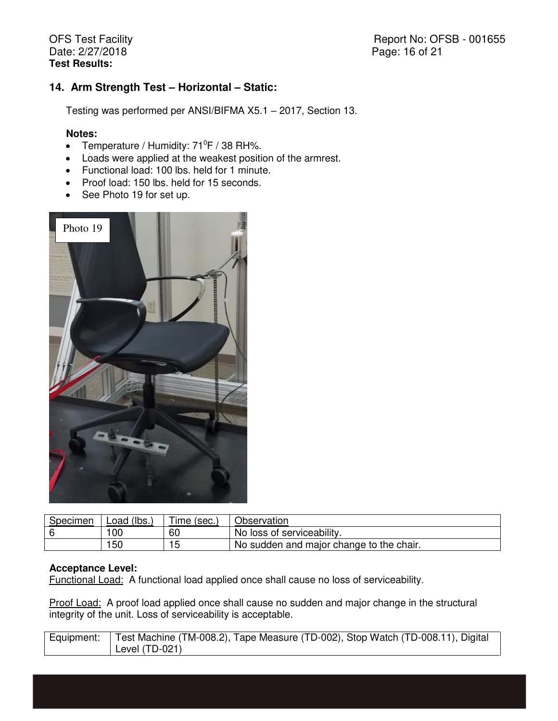Report No: OFSB - 001655 Page: 16 of 21

## **14. Arm Strength Test – Horizontal – Static:**

Testing was performed per ANSI/BIFMA X5.1 – 2017, Section 13.

#### **Notes:**

- Temperature / Humidity:  $71^{\circ}F$  / 38 RH%.
- Loads were applied at the weakest position of the armrest.
- Functional load: 100 lbs. held for 1 minute.
- Proof load: 150 lbs. held for 15 seconds.
- See Photo 19 for set up.



| <b>Specimen</b> | $\dot{}$ (lbs.,<br>Load | <i>ime</i><br>` (sec., | Observation                              |
|-----------------|-------------------------|------------------------|------------------------------------------|
|                 | 00                      | 60                     | No loss of serviceability.               |
|                 | 50                      | ں ،                    | No sudden and major change to the chair. |

#### **Acceptance Level:**

Functional Load: A functional load applied once shall cause no loss of serviceability.

Proof Load: A proof load applied once shall cause no sudden and major change in the structural integrity of the unit. Loss of serviceability is acceptable.

| Equipment:   Test Machine (TM-008.2), Tape Measure (TD-002), Stop Watch (TD-008.11), Digital |
|----------------------------------------------------------------------------------------------|
| Level (TD-021)                                                                               |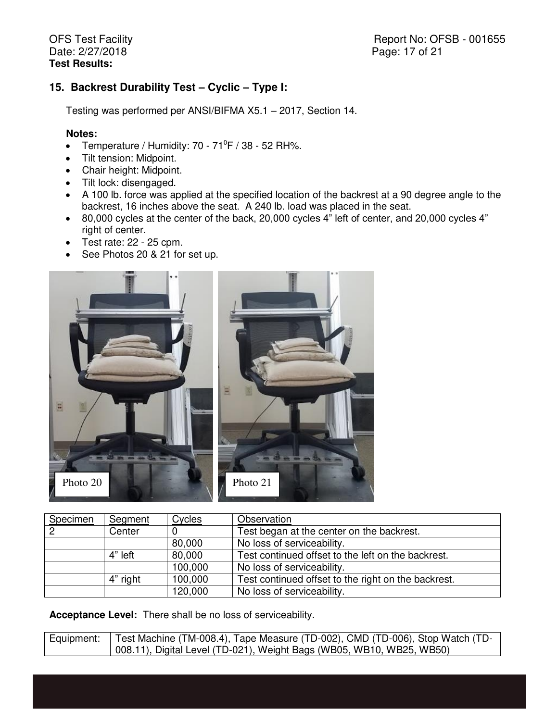Report No: OFSB - 001655 Page: 17 of 21

## **15. Backrest Durability Test – Cyclic – Type I:**

Testing was performed per ANSI/BIFMA X5.1 – 2017, Section 14.

#### **Notes:**

- Temperature / Humidity:  $70 71^{\circ}F$  / 38 52 RH%.
- Tilt tension: Midpoint.
- Chair height: Midpoint.
- Tilt lock: disengaged.
- A 100 lb. force was applied at the specified location of the backrest at a 90 degree angle to the backrest, 16 inches above the seat. A 240 lb. load was placed in the seat.
- 80,000 cycles at the center of the back, 20,000 cycles 4" left of center, and 20,000 cycles 4" right of center.
- $\bullet$  Test rate: 22 25 cpm.
- See Photos 20 & 21 for set up.



| Specimen | Segment  | Cycles  | Observation                                         |
|----------|----------|---------|-----------------------------------------------------|
|          | Center   |         | Test began at the center on the backrest.           |
|          |          | 80,000  | No loss of serviceability.                          |
|          | 4" left  | 80,000  | Test continued offset to the left on the backrest.  |
|          |          | 100,000 | No loss of serviceability.                          |
|          | 4" right | 100,000 | Test continued offset to the right on the backrest. |
|          |          | 120,000 | No loss of serviceability.                          |

**Acceptance Level:** There shall be no loss of serviceability.

| Equipment:   Test Machine (TM-008.4), Tape Measure (TD-002), CMD (TD-006), Stop Watch (TD- |
|--------------------------------------------------------------------------------------------|
| 008.11), Digital Level (TD-021), Weight Bags (WB05, WB10, WB25, WB50)                      |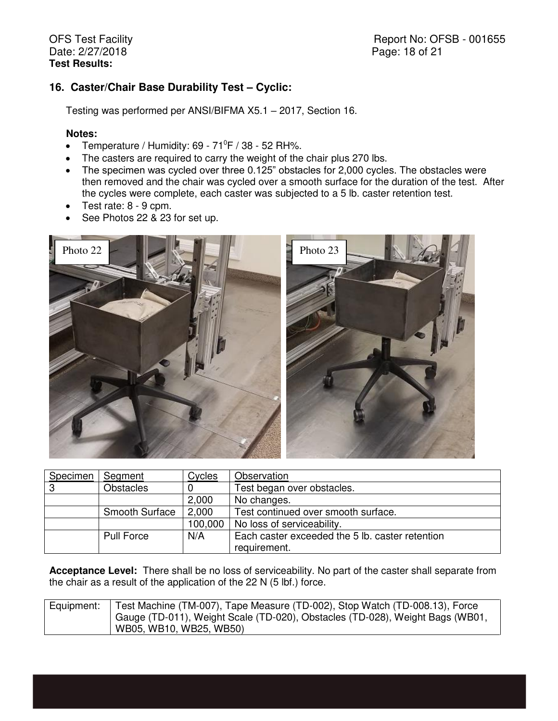# 16. Caster/Chair Base Durability Test - Cyclic:

Testing was performed per ANSI/BIFMA X5.1 – 2017, Section 16.

### **Notes:**

- Temperature / Humidity:  $69 71^{\circ}F$  /  $38 52$  RH%.
- The casters are required to carry the weight of the chair plus 270 lbs.
- The specimen was cycled over three 0.125" obstacles for 2,000 cycles. The obstacles were then removed and the chair was cycled over a smooth surface for the duration of the test. After the cycles were complete, each caster was subjected to a 5 lb. caster retention test.
- Test rate: 8 9 cpm.
- See Photos 22 & 23 for set up.



| Specimen | Segment               | Cycles  | Observation                                     |
|----------|-----------------------|---------|-------------------------------------------------|
| -3       | <b>Obstacles</b>      |         | Test began over obstacles.                      |
|          |                       | 2,000   | No changes.                                     |
|          | <b>Smooth Surface</b> | 2,000   | Test continued over smooth surface.             |
|          |                       | 100,000 | No loss of serviceability.                      |
|          | Pull Force            | N/A     | Each caster exceeded the 5 lb. caster retention |
|          |                       |         | requirement.                                    |

**Acceptance Level:** There shall be no loss of serviceability. No part of the caster shall separate from the chair as a result of the application of the 22 N (5 lbf.) force.

| Equipment: | Test Machine (TM-007), Tape Measure (TD-002), Stop Watch (TD-008.13), Force   |
|------------|-------------------------------------------------------------------------------|
|            | Gauge (TD-011), Weight Scale (TD-020), Obstacles (TD-028), Weight Bags (WB01, |
|            | WB05, WB10, WB25, WB50)                                                       |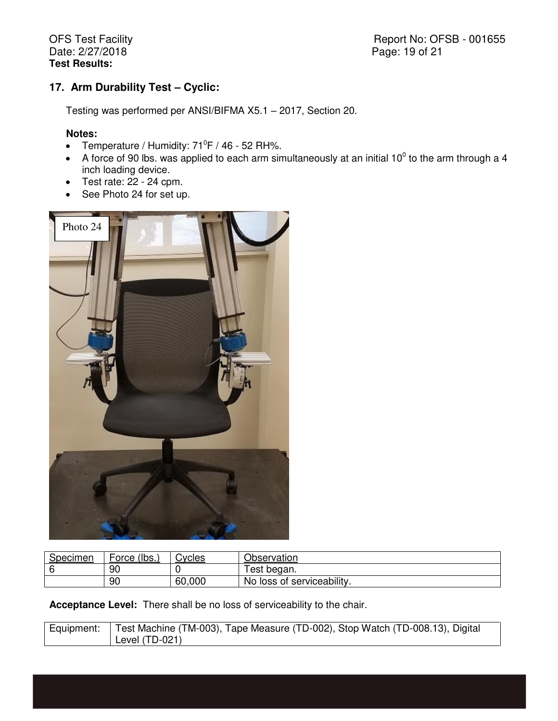Report No: OFSB - 001655 Page: 19 of 21

# **17. Arm Durability Test – Cyclic:**

Testing was performed per ANSI/BIFMA X5.1 – 2017, Section 20.

### **Notes:**

- Temperature / Humidity:  $71^{\circ}F$  / 46 52 RH%.
- A force of 90 lbs. was applied to each arm simultaneously at an initial 10<sup>0</sup> to the arm through a 4 inch loading device.
- $\bullet$  Test rate: 22 24 cpm.
- See Photo 24 for set up.



| Specimen | (lbs.<br>Force | Cvcles | Observation                |
|----------|----------------|--------|----------------------------|
|          | 90             |        | est began.                 |
|          | 90             | 60,000 | No loss of serviceability. |

**Acceptance Level:** There shall be no loss of serviceability to the chair.

| Equipment: Test Machine (TM-003), Tape Measure (TD-002), Stop Watch (TD-008.13), Digital |
|------------------------------------------------------------------------------------------|
| Level $(TD-021)$                                                                         |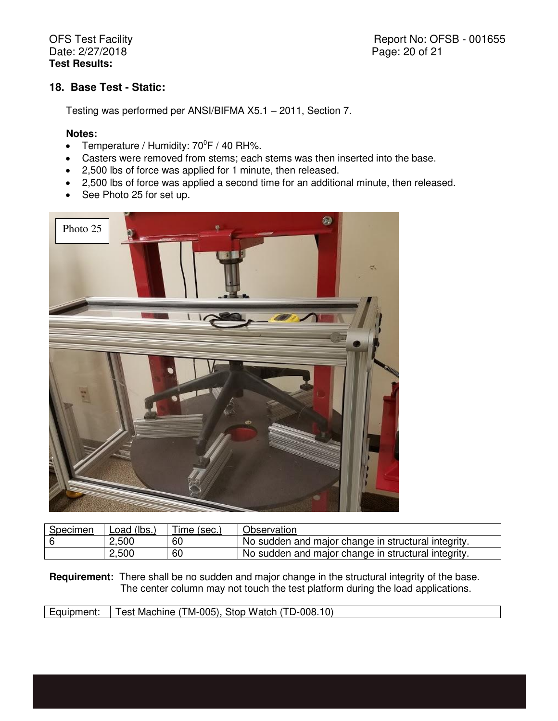Report No: OFSB - 001655 Page: 20 of 21

## **18. Base Test - Static:**

Testing was performed per ANSI/BIFMA X5.1 – 2011, Section 7.

#### **Notes:**

- Temperature / Humidity:  $70^{\circ}$ F / 40 RH%.
- Casters were removed from stems; each stems was then inserted into the base.
- 2,500 lbs of force was applied for 1 minute, then released.
- 2,500 lbs of force was applied a second time for an additional minute, then released.
- See Photo 25 for set up.



| <b>Specimen</b> | Load (lbs.) | $Time$ (sec., | Observation                                         |
|-----------------|-------------|---------------|-----------------------------------------------------|
|                 | 2,500       | 60            | No sudden and major change in structural integrity. |
|                 | 2,500       | 60            | No sudden and major change in structural integrity. |

**Requirement:** There shall be no sudden and major change in the structural integrity of the base. The center column may not touch the test platform during the load applications.

| Test Machine (TM-005), Stop Watch (TD-008.10)<br>Equipment: |
|-------------------------------------------------------------|
|-------------------------------------------------------------|